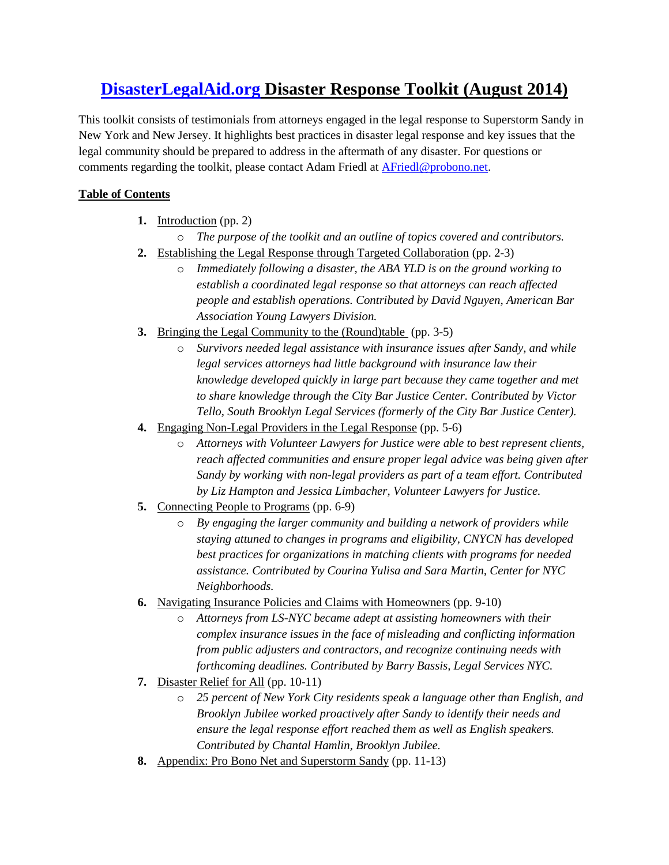# **[DisasterLegalAid.org](http://www.disasterlegalaid.org/) Disaster Response Toolkit (August 2014)**

This toolkit consists of testimonials from attorneys engaged in the legal response to Superstorm Sandy in New York and New Jersey. It highlights best practices in disaster legal response and key issues that the legal community should be prepared to address in the aftermath of any disaster. For questions or comments regarding the toolkit, please contact Adam Friedl at [AFriedl@probono.net.](mailto:AFriedl@probono.net?subject=Re:%20DisasterLegalAid.org%20Disaster%20Response%20Toolkit)

# **Table of Contents**

- **1.** Introduction (pp. 2)
- o *The purpose of the toolkit and an outline of topics covered and contributors.* **2.** Establishing the Legal Response through Targeted Collaboration (pp. 2-3)
	- o *Immediately following a disaster, the ABA YLD is on the ground working to establish a coordinated legal response so that attorneys can reach affected people and establish operations. Contributed by David Nguyen, American Bar*
- **3.** Bringing the Legal Community to the (Round)table (pp. 3-5)

*Association Young Lawyers Division.* 

- o *Survivors needed legal assistance with insurance issues after Sandy, and while legal services attorneys had little background with insurance law their knowledge developed quickly in large part because they came together and met to share knowledge through the City Bar Justice Center. Contributed by Victor Tello, South Brooklyn Legal Services (formerly of the City Bar Justice Center).*
- **4.** Engaging Non-Legal Providers in the Legal Response (pp. 5-6)
	- o *Attorneys with Volunteer Lawyers for Justice were able to best represent clients, reach affected communities and ensure proper legal advice was being given after Sandy by working with non-legal providers as part of a team effort. Contributed by Liz Hampton and Jessica Limbacher, Volunteer Lawyers for Justice.*
- **5.** Connecting People to Programs (pp. 6-9)
	- o *By engaging the larger community and building a network of providers while staying attuned to changes in programs and eligibility, CNYCN has developed best practices for organizations in matching clients with programs for needed assistance. Contributed by Courina Yulisa and Sara Martin, Center for NYC Neighborhoods.*
- **6.** Navigating Insurance Policies and Claims with Homeowners (pp. 9-10)
	- o *Attorneys from LS-NYC became adept at assisting homeowners with their complex insurance issues in the face of misleading and conflicting information from public adjusters and contractors, and recognize continuing needs with forthcoming deadlines. Contributed by Barry Bassis, Legal Services NYC.*
- **7.** Disaster Relief for All (pp. 10-11)
	- o *25 percent of New York City residents speak a language other than English, and Brooklyn Jubilee worked proactively after Sandy to identify their needs and ensure the legal response effort reached them as well as English speakers. Contributed by Chantal Hamlin, Brooklyn Jubilee.*
- **8.** Appendix: Pro Bono Net and Superstorm Sandy (pp. 11-13)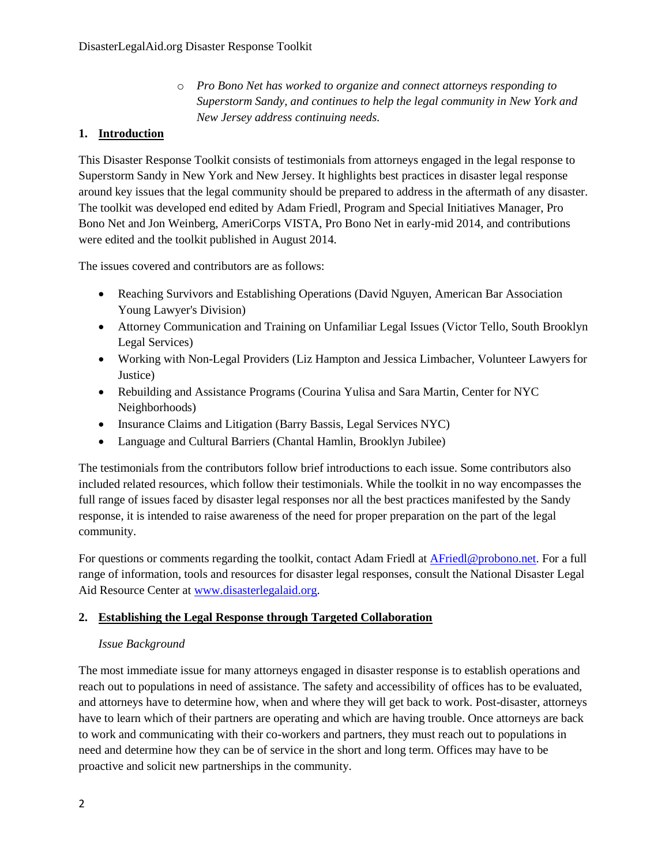o *Pro Bono Net has worked to organize and connect attorneys responding to Superstorm Sandy, and continues to help the legal community in New York and New Jersey address continuing needs.*

## **1. Introduction**

This Disaster Response Toolkit consists of testimonials from attorneys engaged in the legal response to Superstorm Sandy in New York and New Jersey. It highlights best practices in disaster legal response around key issues that the legal community should be prepared to address in the aftermath of any disaster. The toolkit was developed end edited by Adam Friedl, Program and Special Initiatives Manager, Pro Bono Net and Jon Weinberg, AmeriCorps VISTA, Pro Bono Net in early-mid 2014, and contributions were edited and the toolkit published in August 2014.

The issues covered and contributors are as follows:

- Reaching Survivors and Establishing Operations (David Nguyen, American Bar Association Young Lawyer's Division)
- Attorney Communication and Training on Unfamiliar Legal Issues (Victor Tello, South Brooklyn Legal Services)
- Working with Non-Legal Providers (Liz Hampton and Jessica Limbacher, Volunteer Lawyers for Justice)
- Rebuilding and Assistance Programs (Courina Yulisa and Sara Martin, Center for NYC Neighborhoods)
- Insurance Claims and Litigation (Barry Bassis, Legal Services NYC)
- Language and Cultural Barriers (Chantal Hamlin, Brooklyn Jubilee)

The testimonials from the contributors follow brief introductions to each issue. Some contributors also included related resources, which follow their testimonials. While the toolkit in no way encompasses the full range of issues faced by disaster legal responses nor all the best practices manifested by the Sandy response, it is intended to raise awareness of the need for proper preparation on the part of the legal community.

For questions or comments regarding the toolkit, contact Adam Friedl at [AFriedl@probono.net.](mailto:AFriedl@probono.net?subject=Re:%20DisasterLegalAid.org%20Disaster%20Repsonse%20Toolkit) For a full range of information, tools and resources for disaster legal responses, consult the National Disaster Legal Aid Resource Center at [www.disasterlegalaid.org.](www.disasterlegalaid.org)

## **2. Establishing the Legal Response through Targeted Collaboration**

## *Issue Background*

The most immediate issue for many attorneys engaged in disaster response is to establish operations and reach out to populations in need of assistance. The safety and accessibility of offices has to be evaluated, and attorneys have to determine how, when and where they will get back to work. Post-disaster, attorneys have to learn which of their partners are operating and which are having trouble. Once attorneys are back to work and communicating with their co-workers and partners, they must reach out to populations in need and determine how they can be of service in the short and long term. Offices may have to be proactive and solicit new partnerships in the community.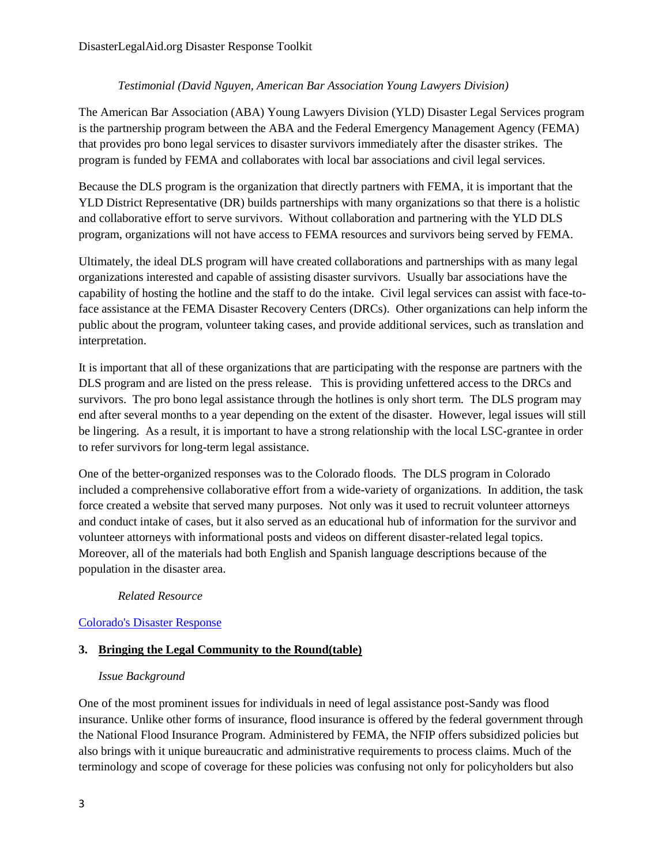#### *Testimonial (David Nguyen, American Bar Association Young Lawyers Division)*

The American Bar Association (ABA) Young Lawyers Division (YLD) Disaster Legal Services program is the partnership program between the ABA and the Federal Emergency Management Agency (FEMA) that provides pro bono legal services to disaster survivors immediately after the disaster strikes. The program is funded by FEMA and collaborates with local bar associations and civil legal services.

Because the DLS program is the organization that directly partners with FEMA, it is important that the YLD District Representative (DR) builds partnerships with many organizations so that there is a holistic and collaborative effort to serve survivors. Without collaboration and partnering with the YLD DLS program, organizations will not have access to FEMA resources and survivors being served by FEMA.

Ultimately, the ideal DLS program will have created collaborations and partnerships with as many legal organizations interested and capable of assisting disaster survivors. Usually bar associations have the capability of hosting the hotline and the staff to do the intake. Civil legal services can assist with face-toface assistance at the FEMA Disaster Recovery Centers (DRCs). Other organizations can help inform the public about the program, volunteer taking cases, and provide additional services, such as translation and interpretation.

It is important that all of these organizations that are participating with the response are partners with the DLS program and are listed on the press release. This is providing unfettered access to the DRCs and survivors. The pro bono legal assistance through the hotlines is only short term. The DLS program may end after several months to a year depending on the extent of the disaster. However, legal issues will still be lingering. As a result, it is important to have a strong relationship with the local LSC-grantee in order to refer survivors for long-term legal assistance.

One of the better-organized responses was to the Colorado floods. The DLS program in Colorado included a comprehensive collaborative effort from a wide-variety of organizations. In addition, the task force created a website that served many purposes. Not only was it used to recruit volunteer attorneys and conduct intake of cases, but it also served as an educational hub of information for the survivor and volunteer attorneys with informational posts and videos on different disaster-related legal topics. Moreover, all of the materials had both English and Spanish language descriptions because of the population in the disaster area.

#### *Related Resource*

#### [Colorado's Disaster Response](http://www.americanbar.org/publications/the_affiliate/2014/january_february/colorado_coalition_responds_swiftly_floods.html)

#### **3. Bringing the Legal Community to the Round(table)**

#### *Issue Background*

One of the most prominent issues for individuals in need of legal assistance post-Sandy was flood insurance. Unlike other forms of insurance, flood insurance is offered by the federal government through the National Flood Insurance Program. Administered by FEMA, the NFIP offers subsidized policies but also brings with it unique bureaucratic and administrative requirements to process claims. Much of the terminology and scope of coverage for these policies was confusing not only for policyholders but also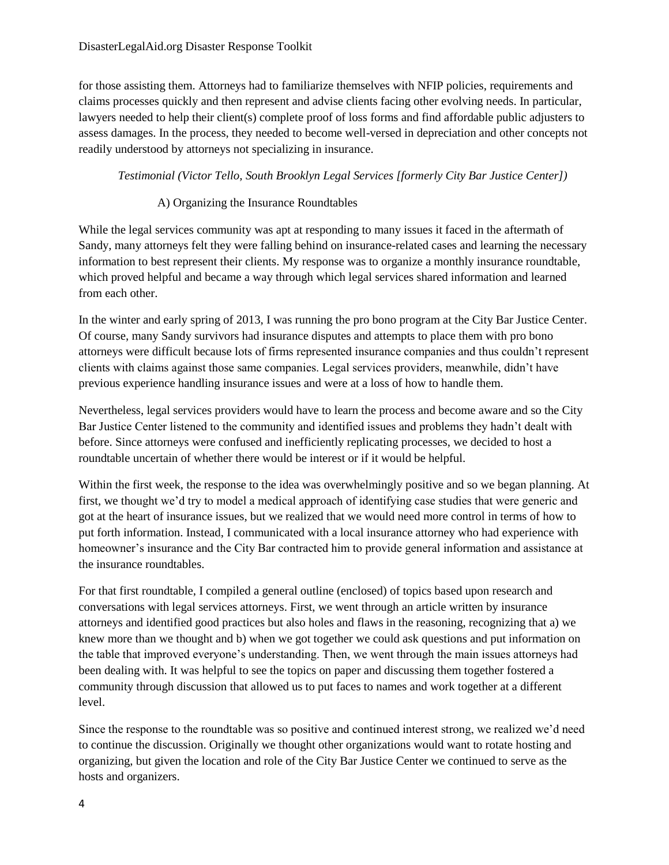for those assisting them. Attorneys had to familiarize themselves with NFIP policies, requirements and claims processes quickly and then represent and advise clients facing other evolving needs. In particular, lawyers needed to help their client(s) complete proof of loss forms and find affordable public adjusters to assess damages. In the process, they needed to become well-versed in depreciation and other concepts not readily understood by attorneys not specializing in insurance.

#### *Testimonial (Victor Tello, South Brooklyn Legal Services [formerly City Bar Justice Center])*

#### A) Organizing the Insurance Roundtables

While the legal services community was apt at responding to many issues it faced in the aftermath of Sandy, many attorneys felt they were falling behind on insurance-related cases and learning the necessary information to best represent their clients. My response was to organize a monthly insurance roundtable, which proved helpful and became a way through which legal services shared information and learned from each other.

In the winter and early spring of 2013, I was running the pro bono program at the City Bar Justice Center. Of course, many Sandy survivors had insurance disputes and attempts to place them with pro bono attorneys were difficult because lots of firms represented insurance companies and thus couldn't represent clients with claims against those same companies. Legal services providers, meanwhile, didn't have previous experience handling insurance issues and were at a loss of how to handle them.

Nevertheless, legal services providers would have to learn the process and become aware and so the City Bar Justice Center listened to the community and identified issues and problems they hadn't dealt with before. Since attorneys were confused and inefficiently replicating processes, we decided to host a roundtable uncertain of whether there would be interest or if it would be helpful.

Within the first week, the response to the idea was overwhelmingly positive and so we began planning. At first, we thought we'd try to model a medical approach of identifying case studies that were generic and got at the heart of insurance issues, but we realized that we would need more control in terms of how to put forth information. Instead, I communicated with a local insurance attorney who had experience with homeowner's insurance and the City Bar contracted him to provide general information and assistance at the insurance roundtables.

For that first roundtable, I compiled a general outline (enclosed) of topics based upon research and conversations with legal services attorneys. First, we went through an article written by insurance attorneys and identified good practices but also holes and flaws in the reasoning, recognizing that a) we knew more than we thought and b) when we got together we could ask questions and put information on the table that improved everyone's understanding. Then, we went through the main issues attorneys had been dealing with. It was helpful to see the topics on paper and discussing them together fostered a community through discussion that allowed us to put faces to names and work together at a different level.

Since the response to the roundtable was so positive and continued interest strong, we realized we'd need to continue the discussion. Originally we thought other organizations would want to rotate hosting and organizing, but given the location and role of the City Bar Justice Center we continued to serve as the hosts and organizers.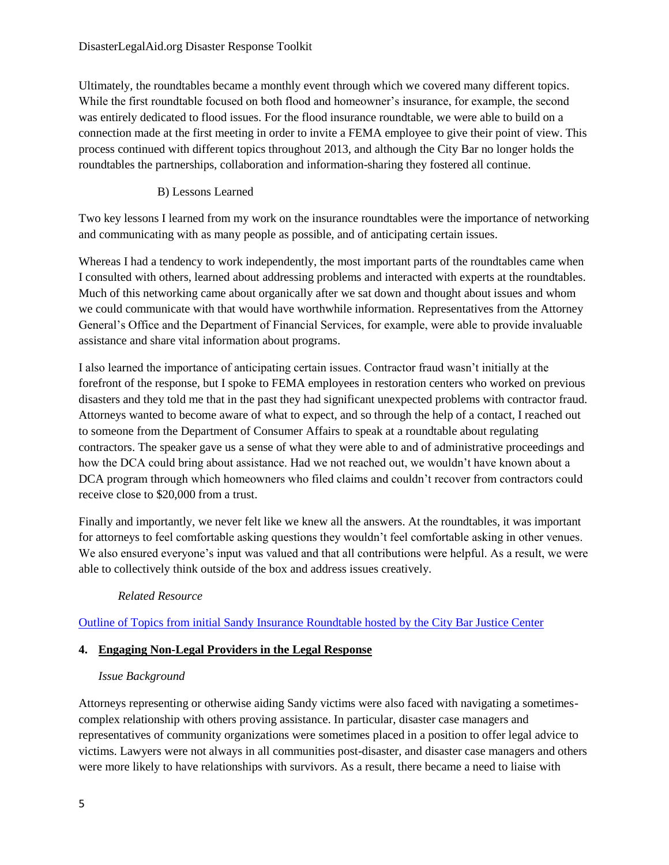Ultimately, the roundtables became a monthly event through which we covered many different topics. While the first roundtable focused on both flood and homeowner's insurance, for example, the second was entirely dedicated to flood issues. For the flood insurance roundtable, we were able to build on a connection made at the first meeting in order to invite a FEMA employee to give their point of view. This process continued with different topics throughout 2013, and although the City Bar no longer holds the roundtables the partnerships, collaboration and information-sharing they fostered all continue.

# B) Lessons Learned

Two key lessons I learned from my work on the insurance roundtables were the importance of networking and communicating with as many people as possible, and of anticipating certain issues.

Whereas I had a tendency to work independently, the most important parts of the roundtables came when I consulted with others, learned about addressing problems and interacted with experts at the roundtables. Much of this networking came about organically after we sat down and thought about issues and whom we could communicate with that would have worthwhile information. Representatives from the Attorney General's Office and the Department of Financial Services, for example, were able to provide invaluable assistance and share vital information about programs.

I also learned the importance of anticipating certain issues. Contractor fraud wasn't initially at the forefront of the response, but I spoke to FEMA employees in restoration centers who worked on previous disasters and they told me that in the past they had significant unexpected problems with contractor fraud. Attorneys wanted to become aware of what to expect, and so through the help of a contact, I reached out to someone from the Department of Consumer Affairs to speak at a roundtable about regulating contractors. The speaker gave us a sense of what they were able to and of administrative proceedings and how the DCA could bring about assistance. Had we not reached out, we wouldn't have known about a DCA program through which homeowners who filed claims and couldn't recover from contractors could receive close to \$20,000 from a trust.

Finally and importantly, we never felt like we knew all the answers. At the roundtables, it was important for attorneys to feel comfortable asking questions they wouldn't feel comfortable asking in other venues. We also ensured everyone's input was valued and that all contributions were helpful. As a result, we were able to collectively think outside of the box and address issues creatively.

## *Related Resource*

[Outline of Topics from initial Sandy Insurance Roundtable hosted by the City Bar Justice Center](http://www.disasterlegalaid.org/library/attachment.256254)

#### **4. Engaging Non-Legal Providers in the Legal Response**

#### *Issue Background*

Attorneys representing or otherwise aiding Sandy victims were also faced with navigating a sometimescomplex relationship with others proving assistance. In particular, disaster case managers and representatives of community organizations were sometimes placed in a position to offer legal advice to victims. Lawyers were not always in all communities post-disaster, and disaster case managers and others were more likely to have relationships with survivors. As a result, there became a need to liaise with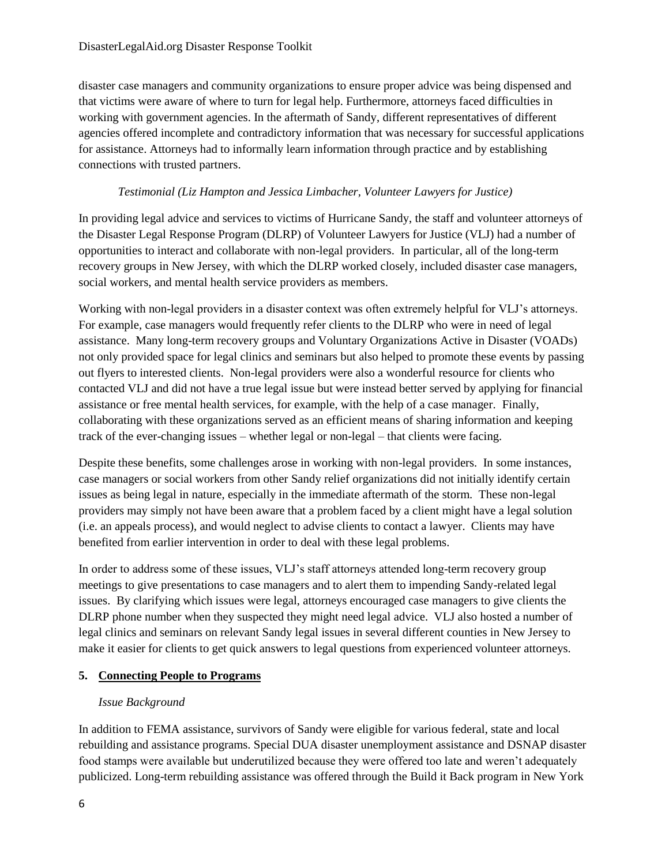disaster case managers and community organizations to ensure proper advice was being dispensed and that victims were aware of where to turn for legal help. Furthermore, attorneys faced difficulties in working with government agencies. In the aftermath of Sandy, different representatives of different agencies offered incomplete and contradictory information that was necessary for successful applications for assistance. Attorneys had to informally learn information through practice and by establishing connections with trusted partners.

#### *Testimonial (Liz Hampton and Jessica Limbacher, Volunteer Lawyers for Justice)*

In providing legal advice and services to victims of Hurricane Sandy, the staff and volunteer attorneys of the Disaster Legal Response Program (DLRP) of Volunteer Lawyers for Justice (VLJ) had a number of opportunities to interact and collaborate with non-legal providers. In particular, all of the long-term recovery groups in New Jersey, with which the DLRP worked closely, included disaster case managers, social workers, and mental health service providers as members.

Working with non-legal providers in a disaster context was often extremely helpful for VLJ's attorneys. For example, case managers would frequently refer clients to the DLRP who were in need of legal assistance. Many long-term recovery groups and Voluntary Organizations Active in Disaster (VOADs) not only provided space for legal clinics and seminars but also helped to promote these events by passing out flyers to interested clients. Non-legal providers were also a wonderful resource for clients who contacted VLJ and did not have a true legal issue but were instead better served by applying for financial assistance or free mental health services, for example, with the help of a case manager. Finally, collaborating with these organizations served as an efficient means of sharing information and keeping track of the ever-changing issues – whether legal or non-legal – that clients were facing.

Despite these benefits, some challenges arose in working with non-legal providers. In some instances, case managers or social workers from other Sandy relief organizations did not initially identify certain issues as being legal in nature, especially in the immediate aftermath of the storm. These non-legal providers may simply not have been aware that a problem faced by a client might have a legal solution (i.e. an appeals process), and would neglect to advise clients to contact a lawyer. Clients may have benefited from earlier intervention in order to deal with these legal problems.

In order to address some of these issues, VLJ's staff attorneys attended long-term recovery group meetings to give presentations to case managers and to alert them to impending Sandy-related legal issues. By clarifying which issues were legal, attorneys encouraged case managers to give clients the DLRP phone number when they suspected they might need legal advice. VLJ also hosted a number of legal clinics and seminars on relevant Sandy legal issues in several different counties in New Jersey to make it easier for clients to get quick answers to legal questions from experienced volunteer attorneys.

## **5. Connecting People to Programs**

## *Issue Background*

In addition to FEMA assistance, survivors of Sandy were eligible for various federal, state and local rebuilding and assistance programs. Special DUA disaster unemployment assistance and DSNAP disaster food stamps were available but underutilized because they were offered too late and weren't adequately publicized. Long-term rebuilding assistance was offered through the Build it Back program in New York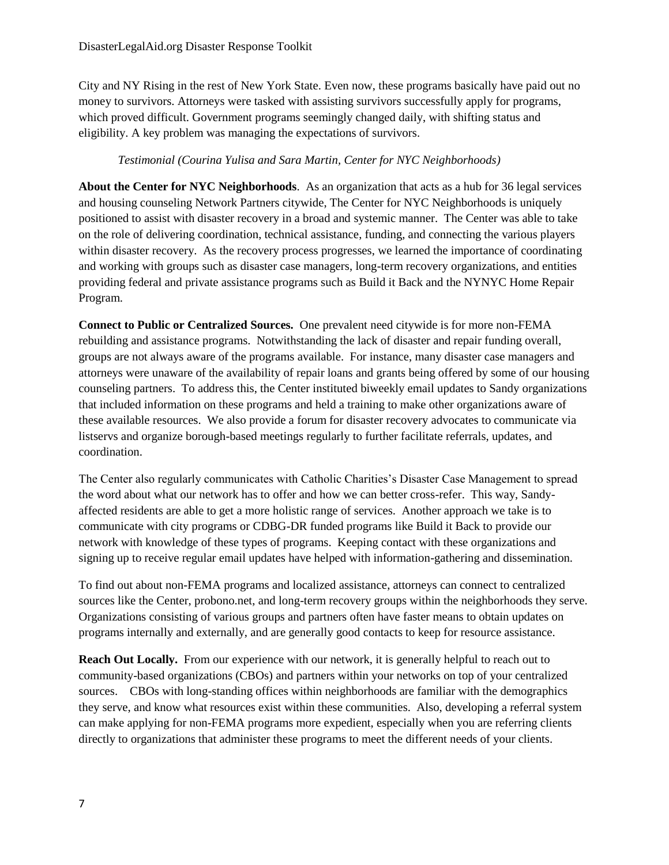City and NY Rising in the rest of New York State. Even now, these programs basically have paid out no money to survivors. Attorneys were tasked with assisting survivors successfully apply for programs, which proved difficult. Government programs seemingly changed daily, with shifting status and eligibility. A key problem was managing the expectations of survivors.

#### *Testimonial (Courina Yulisa and Sara Martin, Center for NYC Neighborhoods)*

**About the Center for NYC Neighborhoods**. As an organization that acts as a hub for 36 legal services and housing counseling Network Partners citywide, The Center for NYC Neighborhoods is uniquely positioned to assist with disaster recovery in a broad and systemic manner. The Center was able to take on the role of delivering coordination, technical assistance, funding, and connecting the various players within disaster recovery. As the recovery process progresses, we learned the importance of coordinating and working with groups such as disaster case managers, long-term recovery organizations, and entities providing federal and private assistance programs such as Build it Back and the NYNYC Home Repair Program.

**Connect to Public or Centralized Sources.** One prevalent need citywide is for more non-FEMA rebuilding and assistance programs. Notwithstanding the lack of disaster and repair funding overall, groups are not always aware of the programs available. For instance, many disaster case managers and attorneys were unaware of the availability of repair loans and grants being offered by some of our housing counseling partners. To address this, the Center instituted biweekly email updates to Sandy organizations that included information on these programs and held a training to make other organizations aware of these available resources. We also provide a forum for disaster recovery advocates to communicate via listservs and organize borough-based meetings regularly to further facilitate referrals, updates, and coordination.

The Center also regularly communicates with Catholic Charities's Disaster Case Management to spread the word about what our network has to offer and how we can better cross-refer. This way, Sandyaffected residents are able to get a more holistic range of services. Another approach we take is to communicate with city programs or CDBG-DR funded programs like Build it Back to provide our network with knowledge of these types of programs. Keeping contact with these organizations and signing up to receive regular email updates have helped with information-gathering and dissemination.

To find out about non-FEMA programs and localized assistance, attorneys can connect to centralized sources like the Center, probono.net, and long-term recovery groups within the neighborhoods they serve. Organizations consisting of various groups and partners often have faster means to obtain updates on programs internally and externally, and are generally good contacts to keep for resource assistance.

**Reach Out Locally.** From our experience with our network, it is generally helpful to reach out to community-based organizations (CBOs) and partners within your networks on top of your centralized sources. CBOs with long-standing offices within neighborhoods are familiar with the demographics they serve, and know what resources exist within these communities. Also, developing a referral system can make applying for non-FEMA programs more expedient, especially when you are referring clients directly to organizations that administer these programs to meet the different needs of your clients.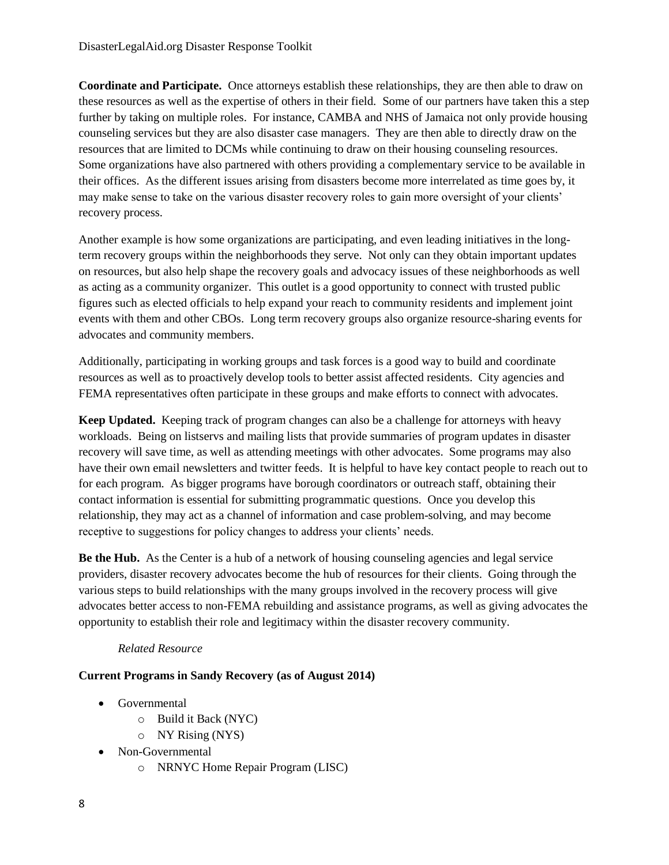**Coordinate and Participate.** Once attorneys establish these relationships, they are then able to draw on these resources as well as the expertise of others in their field. Some of our partners have taken this a step further by taking on multiple roles. For instance, CAMBA and NHS of Jamaica not only provide housing counseling services but they are also disaster case managers. They are then able to directly draw on the resources that are limited to DCMs while continuing to draw on their housing counseling resources. Some organizations have also partnered with others providing a complementary service to be available in their offices. As the different issues arising from disasters become more interrelated as time goes by, it may make sense to take on the various disaster recovery roles to gain more oversight of your clients' recovery process.

Another example is how some organizations are participating, and even leading initiatives in the longterm recovery groups within the neighborhoods they serve. Not only can they obtain important updates on resources, but also help shape the recovery goals and advocacy issues of these neighborhoods as well as acting as a community organizer. This outlet is a good opportunity to connect with trusted public figures such as elected officials to help expand your reach to community residents and implement joint events with them and other CBOs. Long term recovery groups also organize resource-sharing events for advocates and community members.

Additionally, participating in working groups and task forces is a good way to build and coordinate resources as well as to proactively develop tools to better assist affected residents. City agencies and FEMA representatives often participate in these groups and make efforts to connect with advocates.

**Keep Updated.** Keeping track of program changes can also be a challenge for attorneys with heavy workloads. Being on listservs and mailing lists that provide summaries of program updates in disaster recovery will save time, as well as attending meetings with other advocates. Some programs may also have their own email newsletters and twitter feeds. It is helpful to have key contact people to reach out to for each program. As bigger programs have borough coordinators or outreach staff, obtaining their contact information is essential for submitting programmatic questions. Once you develop this relationship, they may act as a channel of information and case problem-solving, and may become receptive to suggestions for policy changes to address your clients' needs.

Be the Hub. As the Center is a hub of a network of housing counseling agencies and legal service providers, disaster recovery advocates become the hub of resources for their clients. Going through the various steps to build relationships with the many groups involved in the recovery process will give advocates better access to non-FEMA rebuilding and assistance programs, as well as giving advocates the opportunity to establish their role and legitimacy within the disaster recovery community.

#### *Related Resource*

#### **Current Programs in Sandy Recovery (as of August 2014)**

- Governmental
	- o Build it Back (NYC)
	- o NY Rising (NYS)
- Non-Governmental
	- o NRNYC Home Repair Program (LISC)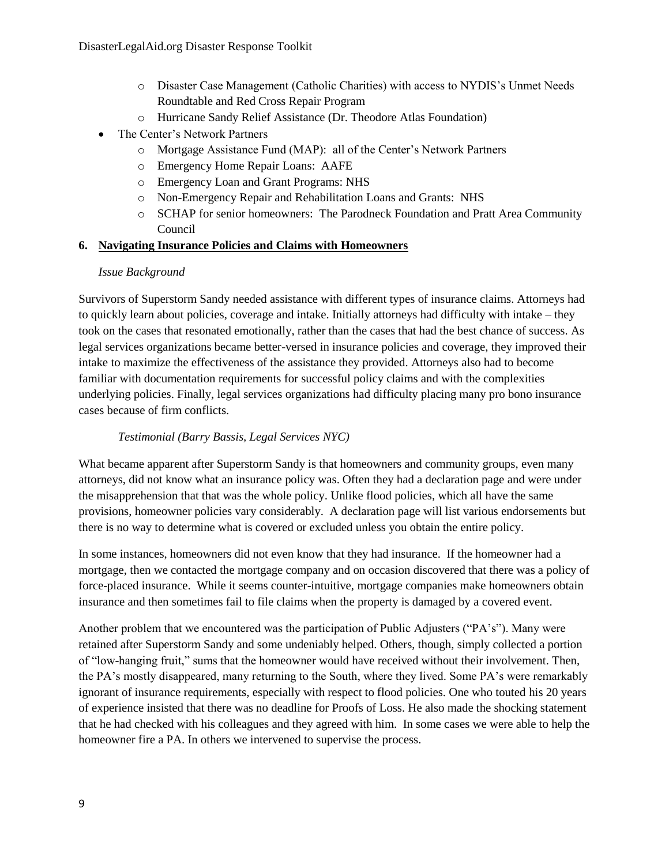- o Disaster Case Management (Catholic Charities) with access to NYDIS's Unmet Needs Roundtable and Red Cross Repair Program
- o Hurricane Sandy Relief Assistance (Dr. Theodore Atlas Foundation)
- The Center's Network Partners
	- o Mortgage Assistance Fund (MAP): all of the Center's Network Partners
	- o Emergency Home Repair Loans: AAFE
	- o Emergency Loan and Grant Programs: NHS
	- o Non-Emergency Repair and Rehabilitation Loans and Grants: NHS
	- o SCHAP for senior homeowners: The Parodneck Foundation and Pratt Area Community Council

#### **6. Navigating Insurance Policies and Claims with Homeowners**

#### *Issue Background*

Survivors of Superstorm Sandy needed assistance with different types of insurance claims. Attorneys had to quickly learn about policies, coverage and intake. Initially attorneys had difficulty with intake – they took on the cases that resonated emotionally, rather than the cases that had the best chance of success. As legal services organizations became better-versed in insurance policies and coverage, they improved their intake to maximize the effectiveness of the assistance they provided. Attorneys also had to become familiar with documentation requirements for successful policy claims and with the complexities underlying policies. Finally, legal services organizations had difficulty placing many pro bono insurance cases because of firm conflicts.

#### *Testimonial (Barry Bassis, Legal Services NYC)*

What became apparent after Superstorm Sandy is that homeowners and community groups, even many attorneys, did not know what an insurance policy was. Often they had a declaration page and were under the misapprehension that that was the whole policy. Unlike flood policies, which all have the same provisions, homeowner policies vary considerably. A declaration page will list various endorsements but there is no way to determine what is covered or excluded unless you obtain the entire policy.

In some instances, homeowners did not even know that they had insurance. If the homeowner had a mortgage, then we contacted the mortgage company and on occasion discovered that there was a policy of force-placed insurance. While it seems counter-intuitive, mortgage companies make homeowners obtain insurance and then sometimes fail to file claims when the property is damaged by a covered event.

Another problem that we encountered was the participation of Public Adjusters ("PA's"). Many were retained after Superstorm Sandy and some undeniably helped. Others, though, simply collected a portion of "low-hanging fruit," sums that the homeowner would have received without their involvement. Then, the PA's mostly disappeared, many returning to the South, where they lived. Some PA's were remarkably ignorant of insurance requirements, especially with respect to flood policies. One who touted his 20 years of experience insisted that there was no deadline for Proofs of Loss. He also made the shocking statement that he had checked with his colleagues and they agreed with him. In some cases we were able to help the homeowner fire a PA. In others we intervened to supervise the process.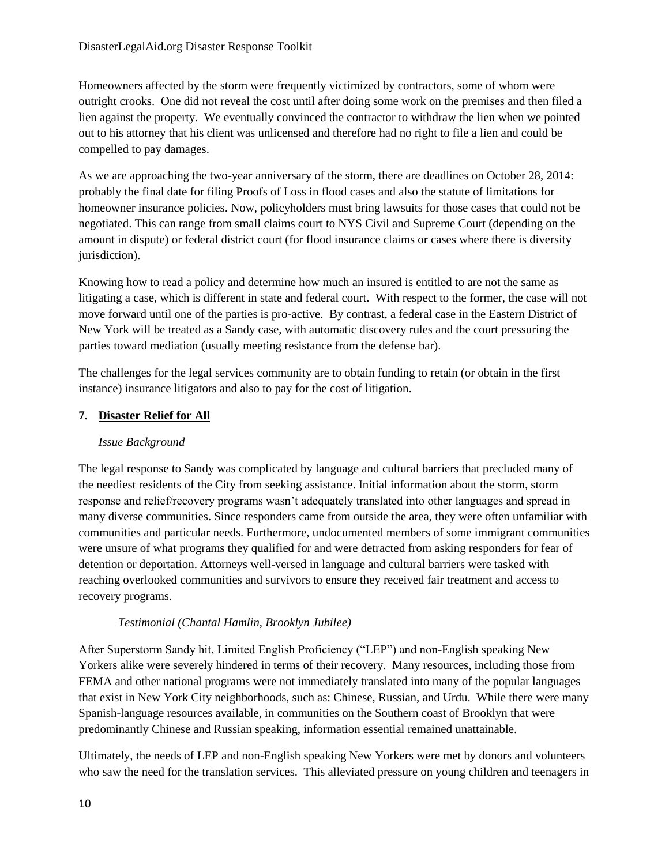Homeowners affected by the storm were frequently victimized by contractors, some of whom were outright crooks. One did not reveal the cost until after doing some work on the premises and then filed a lien against the property. We eventually convinced the contractor to withdraw the lien when we pointed out to his attorney that his client was unlicensed and therefore had no right to file a lien and could be compelled to pay damages.

As we are approaching the two-year anniversary of the storm, there are deadlines on October 28, 2014: probably the final date for filing Proofs of Loss in flood cases and also the statute of limitations for homeowner insurance policies. Now, policyholders must bring lawsuits for those cases that could not be negotiated. This can range from small claims court to NYS Civil and Supreme Court (depending on the amount in dispute) or federal district court (for flood insurance claims or cases where there is diversity jurisdiction).

Knowing how to read a policy and determine how much an insured is entitled to are not the same as litigating a case, which is different in state and federal court. With respect to the former, the case will not move forward until one of the parties is pro-active. By contrast, a federal case in the Eastern District of New York will be treated as a Sandy case, with automatic discovery rules and the court pressuring the parties toward mediation (usually meeting resistance from the defense bar).

The challenges for the legal services community are to obtain funding to retain (or obtain in the first instance) insurance litigators and also to pay for the cost of litigation.

## **7. Disaster Relief for All**

## *Issue Background*

The legal response to Sandy was complicated by language and cultural barriers that precluded many of the neediest residents of the City from seeking assistance. Initial information about the storm, storm response and relief/recovery programs wasn't adequately translated into other languages and spread in many diverse communities. Since responders came from outside the area, they were often unfamiliar with communities and particular needs. Furthermore, undocumented members of some immigrant communities were unsure of what programs they qualified for and were detracted from asking responders for fear of detention or deportation. Attorneys well-versed in language and cultural barriers were tasked with reaching overlooked communities and survivors to ensure they received fair treatment and access to recovery programs.

## *Testimonial (Chantal Hamlin, Brooklyn Jubilee)*

After Superstorm Sandy hit, Limited English Proficiency ("LEP") and non-English speaking New Yorkers alike were severely hindered in terms of their recovery. Many resources, including those from FEMA and other national programs were not immediately translated into many of the popular languages that exist in New York City neighborhoods, such as: Chinese, Russian, and Urdu. While there were many Spanish-language resources available, in communities on the Southern coast of Brooklyn that were predominantly Chinese and Russian speaking, information essential remained unattainable.

Ultimately, the needs of LEP and non-English speaking New Yorkers were met by donors and volunteers who saw the need for the translation services. This alleviated pressure on young children and teenagers in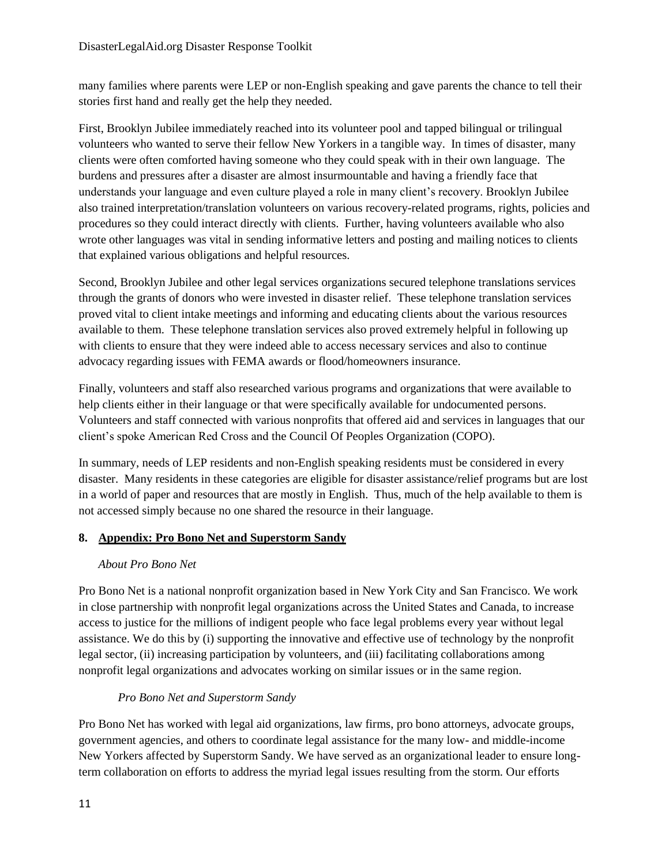many families where parents were LEP or non-English speaking and gave parents the chance to tell their stories first hand and really get the help they needed.

First, Brooklyn Jubilee immediately reached into its volunteer pool and tapped bilingual or trilingual volunteers who wanted to serve their fellow New Yorkers in a tangible way. In times of disaster, many clients were often comforted having someone who they could speak with in their own language. The burdens and pressures after a disaster are almost insurmountable and having a friendly face that understands your language and even culture played a role in many client's recovery. Brooklyn Jubilee also trained interpretation/translation volunteers on various recovery-related programs, rights, policies and procedures so they could interact directly with clients. Further, having volunteers available who also wrote other languages was vital in sending informative letters and posting and mailing notices to clients that explained various obligations and helpful resources.

Second, Brooklyn Jubilee and other legal services organizations secured telephone translations services through the grants of donors who were invested in disaster relief. These telephone translation services proved vital to client intake meetings and informing and educating clients about the various resources available to them. These telephone translation services also proved extremely helpful in following up with clients to ensure that they were indeed able to access necessary services and also to continue advocacy regarding issues with FEMA awards or flood/homeowners insurance.

Finally, volunteers and staff also researched various programs and organizations that were available to help clients either in their language or that were specifically available for undocumented persons. Volunteers and staff connected with various nonprofits that offered aid and services in languages that our client's spoke American Red Cross and the Council Of Peoples Organization (COPO).

In summary, needs of LEP residents and non-English speaking residents must be considered in every disaster. Many residents in these categories are eligible for disaster assistance/relief programs but are lost in a world of paper and resources that are mostly in English. Thus, much of the help available to them is not accessed simply because no one shared the resource in their language.

## **8. Appendix: Pro Bono Net and Superstorm Sandy**

## *About Pro Bono Net*

Pro Bono Net is a national nonprofit organization based in New York City and San Francisco. We work in close partnership with nonprofit legal organizations across the United States and Canada, to increase access to justice for the millions of indigent people who face legal problems every year without legal assistance. We do this by (i) supporting the innovative and effective use of technology by the nonprofit legal sector, (ii) increasing participation by volunteers, and (iii) facilitating collaborations among nonprofit legal organizations and advocates working on similar issues or in the same region.

## *Pro Bono Net and Superstorm Sandy*

Pro Bono Net has worked with legal aid organizations, law firms, pro bono attorneys, advocate groups, government agencies, and others to coordinate legal assistance for the many low- and middle-income New Yorkers affected by Superstorm Sandy. We have served as an organizational leader to ensure longterm collaboration on efforts to address the myriad legal issues resulting from the storm. Our efforts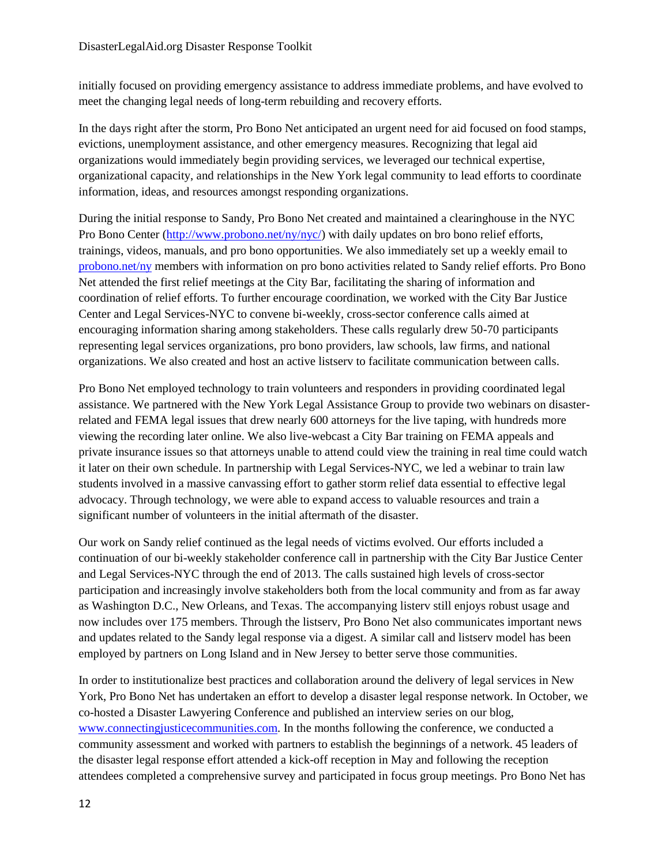initially focused on providing emergency assistance to address immediate problems, and have evolved to meet the changing legal needs of long-term rebuilding and recovery efforts.

In the days right after the storm, Pro Bono Net anticipated an urgent need for aid focused on food stamps, evictions, unemployment assistance, and other emergency measures. Recognizing that legal aid organizations would immediately begin providing services, we leveraged our technical expertise, organizational capacity, and relationships in the New York legal community to lead efforts to coordinate information, ideas, and resources amongst responding organizations.

During the initial response to Sandy, Pro Bono Net created and maintained a clearinghouse in the NYC Pro Bono Center [\(http://www.probono.net/ny/nyc/\)](http://www.probono.net/ny/nyc/) with daily updates on bro bono relief efforts, trainings, videos, manuals, and pro bono opportunities. We also immediately set up a weekly email to <probono.net/ny> members with information on pro bono activities related to Sandy relief efforts. Pro Bono Net attended the first relief meetings at the City Bar, facilitating the sharing of information and coordination of relief efforts. To further encourage coordination, we worked with the City Bar Justice Center and Legal Services-NYC to convene bi-weekly, cross-sector conference calls aimed at encouraging information sharing among stakeholders. These calls regularly drew 50-70 participants representing legal services organizations, pro bono providers, law schools, law firms, and national organizations. We also created and host an active listserv to facilitate communication between calls.

Pro Bono Net employed technology to train volunteers and responders in providing coordinated legal assistance. We partnered with the New York Legal Assistance Group to provide two webinars on disasterrelated and FEMA legal issues that drew nearly 600 attorneys for the live taping, with hundreds more viewing the recording later online. We also live-webcast a City Bar training on FEMA appeals and private insurance issues so that attorneys unable to attend could view the training in real time could watch it later on their own schedule. In partnership with Legal Services-NYC, we led a webinar to train law students involved in a massive canvassing effort to gather storm relief data essential to effective legal advocacy. Through technology, we were able to expand access to valuable resources and train a significant number of volunteers in the initial aftermath of the disaster.

Our work on Sandy relief continued as the legal needs of victims evolved. Our efforts included a continuation of our bi-weekly stakeholder conference call in partnership with the City Bar Justice Center and Legal Services-NYC through the end of 2013. The calls sustained high levels of cross-sector participation and increasingly involve stakeholders both from the local community and from as far away as Washington D.C., New Orleans, and Texas. The accompanying listerv still enjoys robust usage and now includes over 175 members. Through the listserv, Pro Bono Net also communicates important news and updates related to the Sandy legal response via a digest. A similar call and listserv model has been employed by partners on Long Island and in New Jersey to better serve those communities.

In order to institutionalize best practices and collaboration around the delivery of legal services in New York, Pro Bono Net has undertaken an effort to develop a disaster legal response network. In October, we co-hosted a Disaster Lawyering Conference and published an interview series on our blog, [www.connectingjusticecommunities.com.](www.connectingjusticecommunities.com) In the months following the conference, we conducted a community assessment and worked with partners to establish the beginnings of a network. 45 leaders of the disaster legal response effort attended a kick-off reception in May and following the reception attendees completed a comprehensive survey and participated in focus group meetings. Pro Bono Net has